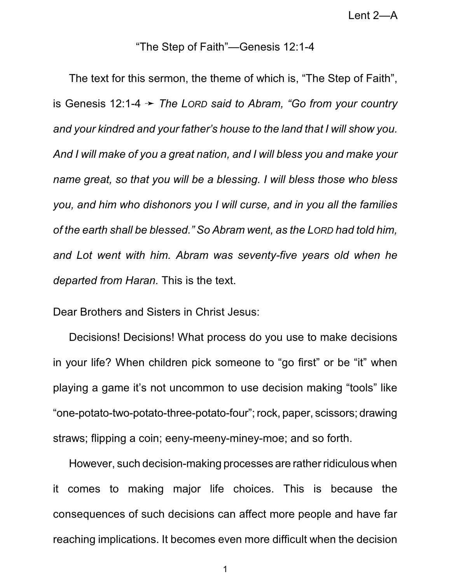## "The Step of Faith"—Genesis 12:1-4

The text for this sermon, the theme of which is, "The Step of Faith", is Genesis 12:1-4 ý *The LORD said to Abram, "Go from your country and your kindred and your father's house to the land that I will show you. And I will make of you a great nation, and I will bless you and make your name great, so that you will be a blessing. I will bless those who bless you, and him who dishonors you I will curse, and in you all the families of the earth shall be blessed." So Abram went, as the LORD had told him, and Lot went with him. Abram was seventy-five years old when he departed from Haran.* This is the text.

Dear Brothers and Sisters in Christ Jesus:

Decisions! Decisions! What process do you use to make decisions in your life? When children pick someone to "go first" or be "it" when playing a game it's not uncommon to use decision making "tools" like "one-potato-two-potato-three-potato-four";rock, paper, scissors; drawing straws; flipping a coin; eeny-meeny-miney-moe; and so forth.

However, such decision-making processes are rather ridiculous when it comes to making major life choices. This is because the consequences of such decisions can affect more people and have far reaching implications. It becomes even more difficult when the decision

1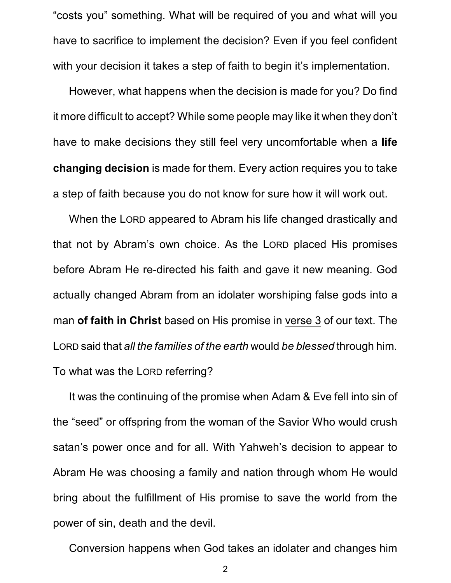"costs you" something. What will be required of you and what will you have to sacrifice to implement the decision? Even if you feel confident with your decision it takes a step of faith to begin it's implementation.

However, what happens when the decision is made for you? Do find it more difficult to accept? While some people may like it when they don't have to make decisions they still feel very uncomfortable when a **life changing decision** is made for them. Every action requires you to take a step of faith because you do not know for sure how it will work out.

When the LORD appeared to Abram his life changed drastically and that not by Abram's own choice. As the LORD placed His promises before Abram He re-directed his faith and gave it new meaning. God actually changed Abram from an idolater worshiping false gods into a man **of faith in Christ** based on His promise in verse 3 of our text. The LORD said that *all the families of the earth* would *be blessed* through him. To what was the LORD referring?

It was the continuing of the promise when Adam & Eve fell into sin of the "seed" or offspring from the woman of the Savior Who would crush satan's power once and for all. With Yahweh's decision to appear to Abram He was choosing a family and nation through whom He would bring about the fulfillment of His promise to save the world from the power of sin, death and the devil.

Conversion happens when God takes an idolater and changes him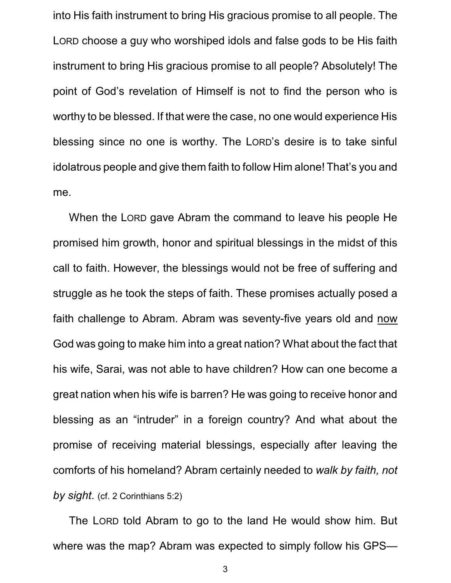into His faith instrument to bring His gracious promise to all people. The LORD choose a guy who worshiped idols and false gods to be His faith instrument to bring His gracious promise to all people? Absolutely! The point of God's revelation of Himself is not to find the person who is worthy to be blessed. If that were the case, no one would experience His blessing since no one is worthy. The LORD's desire is to take sinful idolatrous people and give them faith to follow Him alone! That's you and me.

When the LORD gave Abram the command to leave his people He promised him growth, honor and spiritual blessings in the midst of this call to faith. However, the blessings would not be free of suffering and struggle as he took the steps of faith. These promises actually posed a faith challenge to Abram. Abram was seventy-five years old and now God was going to make him into a great nation? What about the fact that his wife, Sarai, was not able to have children? How can one become a great nation when his wife is barren? He was going to receive honor and blessing as an "intruder" in a foreign country? And what about the promise of receiving material blessings, especially after leaving the comforts of his homeland? Abram certainly needed to *walk by faith, not by sight*. (cf. 2 Corinthians 5:2)

The LORD told Abram to go to the land He would show him. But where was the map? Abram was expected to simply follow his GPS—

3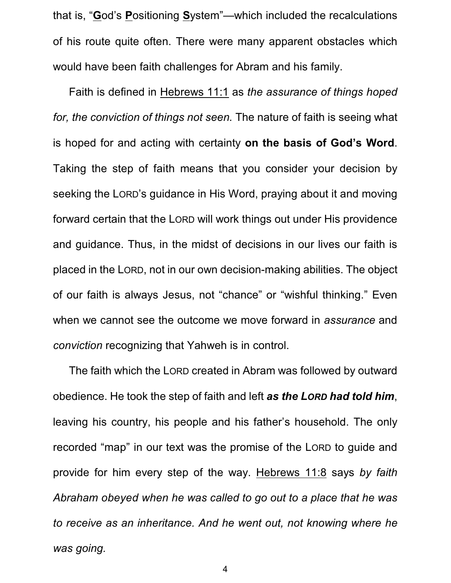that is, "**G**od's **P**ositioning **S**ystem"—which included the recalculations of his route quite often. There were many apparent obstacles which would have been faith challenges for Abram and his family.

Faith is defined in Hebrews 11:1 as *the assurance of things hoped for, the conviction of things not seen.* The nature of faith is seeing what is hoped for and acting with certainty **on the basis of God's Word**. Taking the step of faith means that you consider your decision by seeking the LORD's guidance in His Word, praying about it and moving forward certain that the LORD will work things out under His providence and guidance. Thus, in the midst of decisions in our lives our faith is placed in the LORD, not in our own decision-making abilities. The object of our faith is always Jesus, not "chance" or "wishful thinking." Even when we cannot see the outcome we move forward in *assurance* and *conviction* recognizing that Yahweh is in control.

The faith which the LORD created in Abram was followed by outward obedience. He took the step of faith and left *as the LORD had told him*, leaving his country, his people and his father's household. The only recorded "map" in our text was the promise of the LORD to guide and provide for him every step of the way. Hebrews 11:8 says *by faith Abraham obeyed when he was called to go out to a place that he was to receive as an inheritance. And he went out, not knowing where he was going.*

4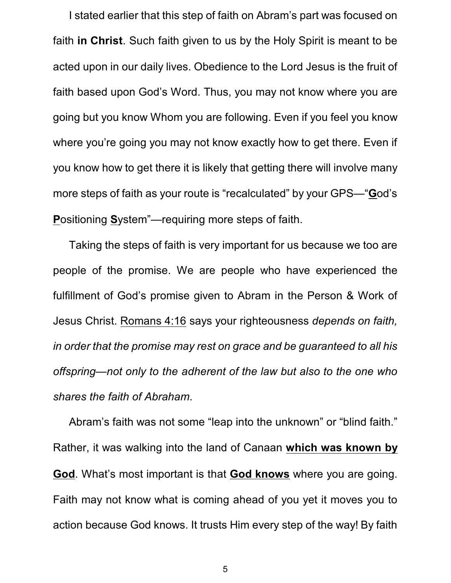I stated earlier that this step of faith on Abram's part was focused on faith **in Christ**. Such faith given to us by the Holy Spirit is meant to be acted upon in our daily lives. Obedience to the Lord Jesus is the fruit of faith based upon God's Word. Thus, you may not know where you are going but you know Whom you are following. Even if you feel you know where you're going you may not know exactly how to get there. Even if you know how to get there it is likely that getting there will involve many more steps of faith as your route is "recalculated" by your GPS—"**G**od's **P**ositioning **S**ystem"—requiring more steps of faith.

Taking the steps of faith is very important for us because we too are people of the promise. We are people who have experienced the fulfillment of God's promise given to Abram in the Person & Work of Jesus Christ. Romans 4:16 says your righteousness *depends on faith, in order that the promise may rest on grace and be guaranteed to all his offspring—not only to the adherent of the law but also to the one who shares the faith of Abraham*.

Abram's faith was not some "leap into the unknown" or "blind faith." Rather, it was walking into the land of Canaan **which was known by God**. What's most important is that **God knows** where you are going. Faith may not know what is coming ahead of you yet it moves you to action because God knows. It trusts Him every step of the way! By faith